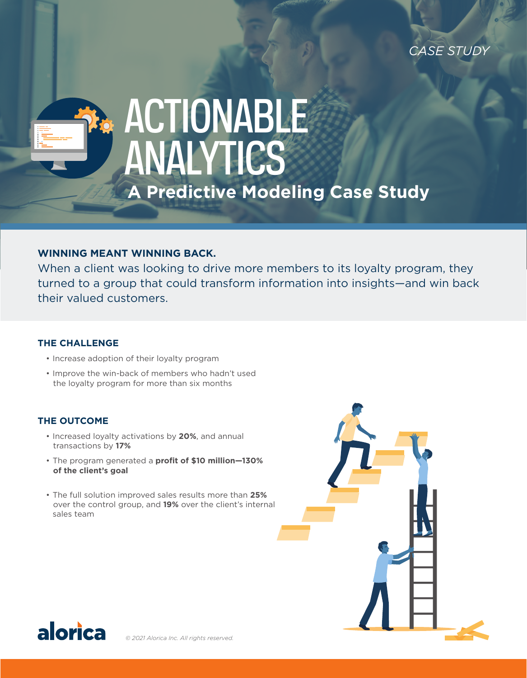*CASE STUDY*

# **A Predictive Modeling Case Study** ACTIONABLE ANALYTICS

# **WINNING MEANT WINNING BACK.**

When a client was looking to drive more members to its loyalty program, they turned to a group that could transform information into insights—and win back their valued customers.

### **THE CHALLENGE**

- Increase adoption of their loyalty program
- Improve the win-back of members who hadn't used the loyalty program for more than six months

## **THE OUTCOME**

- Increased loyalty activations by **20%**, and annual transactions by **17%**
- The program generated a **profit of \$10 million—130% of the client's goal**
- The full solution improved sales results more than **25%** over the control group, and **19%** over the client's internal sales team